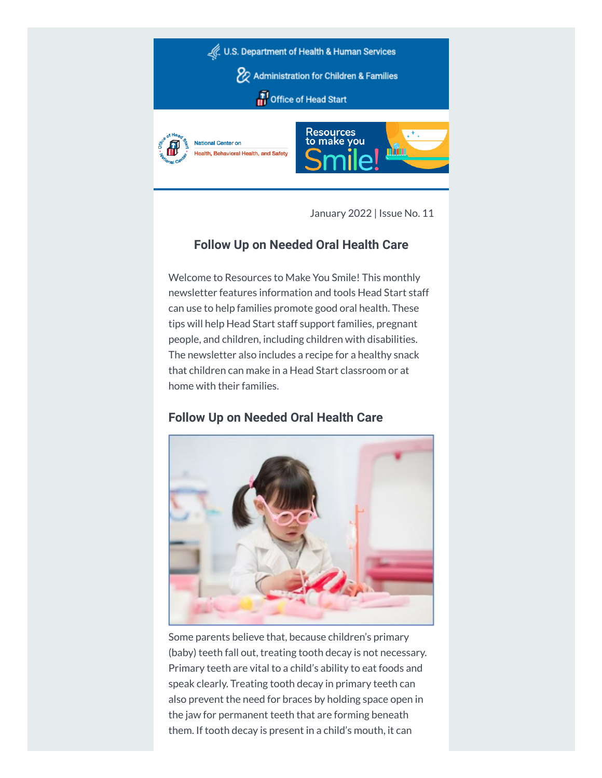

January 2022 | Issue No. 11

# **Follow Up on Needed Oral Health Care**

Welcome to Resources to Make You Smile! This monthly newsletter features information and tools Head Start staff can use to help families promote good oral health. These tips will help Head Start staff support families, pregnant people, and children, including children with disabilities. The newsletter also includes a recipe for a healthy snack that children can make in a Head Start classroom or at home with their families.

# **Follow Up on Needed Oral Health Care**



Some parents believe that, because children's primary (baby) teeth fall out, treating tooth decay is not necessary. Primary teeth are vital to a child's ability to eat foods and speak clearly. Treating tooth decay in primary teeth can also prevent the need for braces by holding space open in the jaw for permanent teeth that are forming beneath them. If tooth decay is present in a child's mouth, it can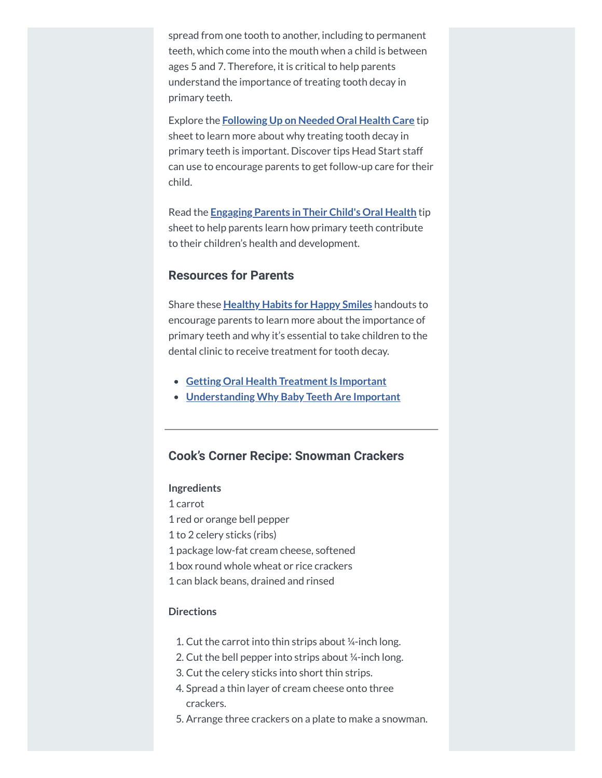spread from one tooth to another, including to permanent teeth, which come into the mouth when a child is between ages 5 and 7. Therefore, it is critical to help parents understand the importance of treating tooth decay in primary teeth.

Explore the **[Following](https://hendall.createsend1.com/t/j-l-zjikrul-l-i/) Up on Needed Oral Health Care** tip sheet to learn more about why treating tooth decay in primary teeth is important. Discover tips Head Start staff can use to encourage parents to get follow-up care for their child.

Read the **[Engaging](https://hendall.createsend1.com/t/j-l-zjikrul-l-d/) Parents in Their Child's Oral Health** tip sheet to help parents learn how primary teeth contribute to their children's health and development.

### **Resources for Parents**

Share these **[Healthy](https://hendall.createsend1.com/t/j-l-zjikrul-l-h/) Habits for Happy Smiles** handouts to encourage parents to learn more about the importance of primary teeth and why it's essential to take children to the dental clinic to receive treatment for tooth decay.

- **Getting Oral Health Treatment Is Important**
- **[Understanding](https://hendall.createsend1.com/t/j-l-zjikrul-l-u/) Why Baby Teeth Are Important**

### **Cook's Corner Recipe: Snowman Crackers**

#### **Ingredients**

- 1 carrot
- 1 red or orange bell pepper
- 1 to 2 celery sticks (ribs)
- 1 package low-fat cream cheese, softened
- 1 box round whole wheat or rice crackers
- 1 can black beans, drained and rinsed

### **Directions**

- 1. Cut the carrot into thin strips about ¼-inch long.
- 2. Cut the bell pepper into strips about ¼-inch long.
- 3. Cut the celery sticks into short thin strips.
- 4. Spread a thin layer of cream cheese onto three crackers.
- 5. Arrange three crackers on a plate to make a snowman.